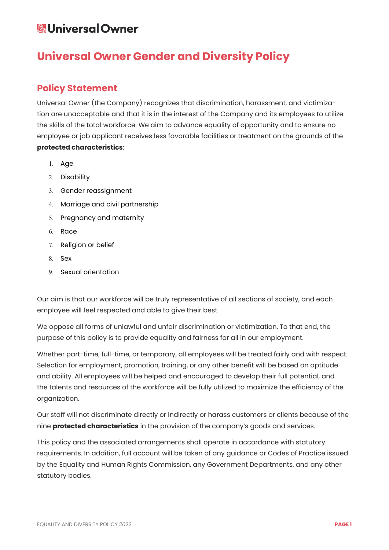# **Universal Owner Gender and Diversity Policy**

### **Policy Statement**

Universal Owner (the Company) recognizes that discrimination, harassment, and victimization are unacceptable and that it is in the interest of the Company and its employees to utilize the skills of the total workforce. We aim to advance equality of opportunity and to ensure no employee or job applicant receives less favorable facilities or treatment on the grounds of the **protected characteristics**:

- 1. Age
- 2. Disability
- 3. Gender reassignment
- 4. Marriage and civil partnership
- 5. Pregnancy and maternity
- 6. Race
- 7. Religion or belief
- 8. Sex
- 9. Sexual orientation

Our aim is that our workforce will be truly representative of all sections of society, and each employee will feel respected and able to give their best.

We oppose all forms of unlawful and unfair discrimination or victimization. To that end, the purpose of this policy is to provide equality and fairness for all in our employment.

Whether part-time, full-time, or temporary, all employees will be treated fairly and with respect. Selection for employment, promotion, training, or any other benefit will be based on aptitude and ability. All employees will be helped and encouraged to develop their full potential, and the talents and resources of the workforce will be fully utilized to maximize the efficiency of the organization.

Our staff will not discriminate directly or indirectly or harass customers or clients because of the nine **protected characteristics** in the provision of the company's goods and services.

This policy and the associated arrangements shall operate in accordance with statutory requirements. In addition, full account will be taken of any guidance or Codes of Practice issued by the Equality and Human Rights Commission, any Government Departments, and any other statutory bodies.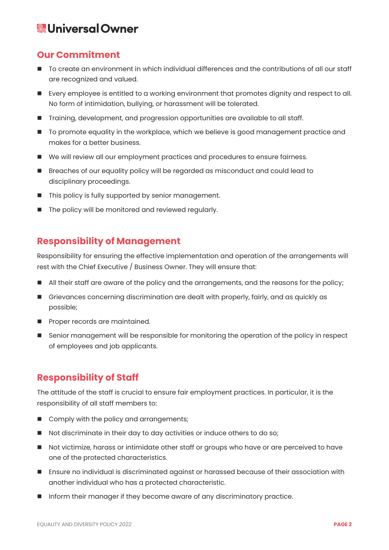#### **Our Commitment**

- To create an environment in which individual differences and the contributions of all our staff are recognized and valued.
- Every employee is entitled to a working environment that promotes dignity and respect to all. No form of intimidation, bullying, or harassment will be tolerated.
- Training, development, and progression opportunities are available to all staff.
- To promote equality in the workplace, which we believe is good management practice and makes for a better business.
- We will review all our employment practices and procedures to ensure fairness.
- **Breaches of our equality policy will be regarded as misconduct and could lead to** disciplinary proceedings.
- This policy is fully supported by senior management.
- The policy will be monitored and reviewed regularly.

#### **Responsibility of Management**

Responsibility for ensuring the effective implementation and operation of the arrangements will rest with the Chief Executive / Business Owner. They will ensure that:

- All their staff are aware of the policy and the arrangements, and the reasons for the policy;
- Grievances concerning discrimination are dealt with properly, fairly, and as quickly as possible;
- **Proper records are maintained.**
- Senior management will be responsible for monitoring the operation of the policy in respect of employees and job applicants.

### **Responsibility of Staff**

The attitude of the staff is crucial to ensure fair employment practices. In particular, it is the responsibility of all staff members to:

- Comply with the policy and arrangements;
- Not discriminate in their day to day activities or induce others to do so;
- Not victimize, harass or intimidate other staff or groups who have or are perceived to have one of the protected characteristics.
- Ensure no individual is discriminated against or harassed because of their association with another individual who has a protected characteristic.
- Inform their manager if they become aware of any discriminatory practice.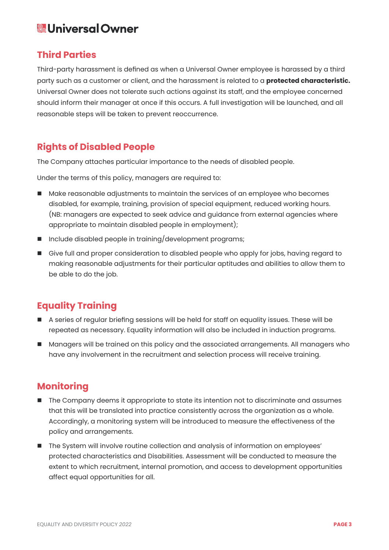#### **Third Parties**

Third-party harassment is defined as when a Universal Owner employee is harassed by a third party such as a customer or client, and the harassment is related to a **protected characteristic.**  Universal Owner does not tolerate such actions against its staff, and the employee concerned should inform their manager at once if this occurs. A full investigation will be launched, and all reasonable steps will be taken to prevent reoccurrence.

### **Rights of Disabled People**

The Company attaches particular importance to the needs of disabled people.

Under the terms of this policy, managers are required to:

- Make reasonable adjustments to maintain the services of an employee who becomes disabled, for example, training, provision of special equipment, reduced working hours. (NB: managers are expected to seek advice and guidance from external agencies where appropriate to maintain disabled people in employment);
- Include disabled people in training/development programs;
- Give full and proper consideration to disabled people who apply for jobs, having regard to making reasonable adjustments for their particular aptitudes and abilities to allow them to be able to do the job.

## **Equality Training**

- A series of regular briefing sessions will be held for staff on equality issues. These will be repeated as necessary. Equality information will also be included in induction programs.
- Managers will be trained on this policy and the associated arrangements. All managers who have any involvement in the recruitment and selection process will receive training.

## **Monitoring**

- **The Company deems it appropriate to state its intention not to discriminate and assumes** that this will be translated into practice consistently across the organization as a whole. Accordingly, a monitoring system will be introduced to measure the effectiveness of the policy and arrangements.
- The System will involve routine collection and analysis of information on employees' protected characteristics and Disabilities. Assessment will be conducted to measure the extent to which recruitment, internal promotion, and access to development opportunities affect equal opportunities for all.